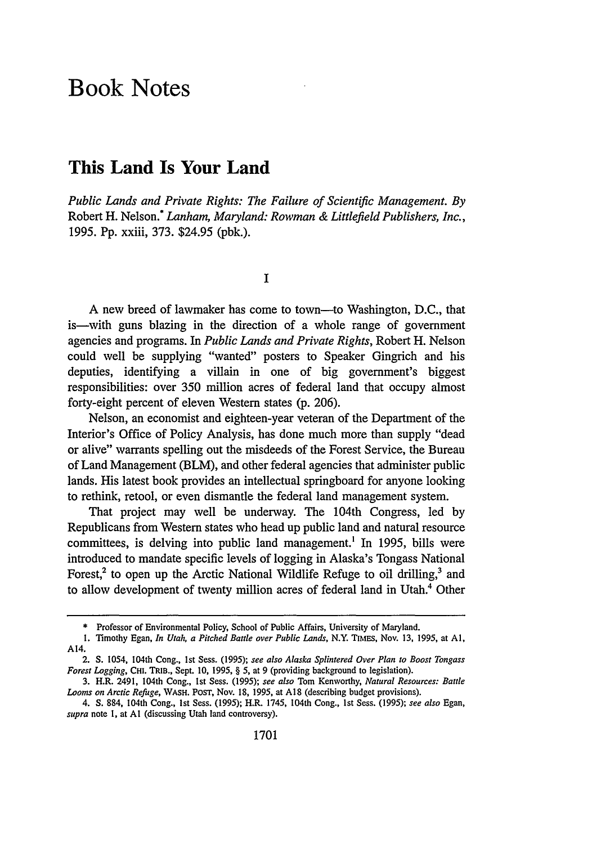## **Book Notes**

## **This Land Is Your Land**

*Public Lands and Private Rights: The Failure of Scientific Management. By* Robert H. Nelson.\* *Lanham, Maryland: Rowman & Littlefield Publishers, Inc.,* 1995. Pp. xxiii, 373. \$24.95 (pbk.).

I

A new breed of lawmaker has come to town-to Washington, D.C., that is—with guns blazing in the direction of a whole range of government agencies and programs. In *Public Lands and Private Rights,* Robert H. Nelson could well be supplying "wanted" posters to Speaker Gingrich and his deputies, identifying a villain in one of big government's biggest responsibilities: over 350 million acres of federal land that occupy almost forty-eight percent of eleven Western states (p. 206).

Nelson, an economist and eighteen-year veteran of the Department of the Interior's Office of Policy Analysis, has done much more than supply "dead or alive" warrants spelling out the misdeeds of the Forest Service, the Bureau of Land Management (BLM), and other federal agencies that administer public lands. His latest book provides an intellectual springboard for anyone looking to rethink, retool, or even dismantle the federal land management system.

That project may well be underway. The 104th Congress, led by Republicans from Western states who head up public land and natural resource committees, is delving into public land management.' In 1995, bills were introduced to mandate specific levels of logging in Alaska's Tongass National Forest,<sup>2</sup> to open up the Arctic National Wildlife Refuge to oil drilling,<sup>3</sup> and to allow development of twenty million acres of federal land in Utah.4 Other

<sup>\*</sup> Professor of Environmental Policy, School of Public Affairs, University of Maryland.

I. Timothy Egan, *In Utah, a Pitched Battle over Public Lands,* N.Y. TIMEs, Nov. 13, 1995, at **AI,** A14.

<sup>2.</sup> **S.** 1054, 104th Cong., 1st Sess. (1995); *see also Alaska Splintered Over Plan to Boost Tongass Forest Logging,* **CHI. TRIB.,** Sept. **10,** 1995, § **5,** at 9 (providing background to legislation).

<sup>3.</sup> H.R. 2491, 104th Cong., Ist Sess. (1995); *see also* Tom Kenworthy, *Natural Resources: Battle Looms on Arctic Refuge,* **WASH.** POST, Nov. 18, 1995, at **A18** (describing budget provisions).

<sup>4.</sup> **S.** 884, 104th Cong., 1st Sess. (1995); H.R. 1745, 104th Cong., 1st Sess. (1995); *see also* Egan, *supra* note **1,** at **Al** (discussing Utah land controversy).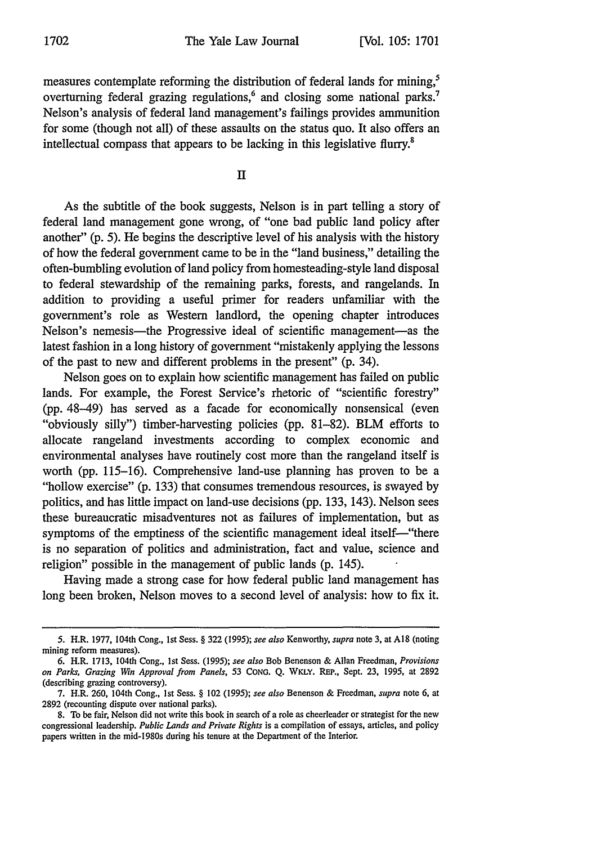measures contemplate reforming the distribution of federal lands for mining,<sup>5</sup> overturning federal grazing regulations,<sup>6</sup> and closing some national parks.<sup>7</sup> Nelson's analysis of federal land management's failings provides ammunition for some (though not all) of these assaults on the status quo. It also offers an intellectual compass that appears to be lacking in this legislative flurry.<sup>8</sup>

**11**

As the subtitle of the book suggests, Nelson is in part telling a story of federal land management gone wrong, of "one bad public land policy after another" (p. 5). He begins the descriptive level of his analysis with the history of how the federal government came to be in the "land business," detailing the often-bumbling evolution of land policy from homesteading-style land disposal to federal stewardship of the remaining parks, forests, and rangelands. In addition to providing a useful primer for readers unfamiliar with the government's role as Western landlord, the opening chapter introduces Nelson's nemesis—the Progressive ideal of scientific management—as the latest fashion in a long history of government "mistakenly applying the lessons of the past to new and different problems in the present" (p. 34).

Nelson goes on to explain how scientific management has failed on public lands. For example, the Forest Service's rhetoric of "scientific forestry" (pp. 48-49) has served as a facade for economically nonsensical (even "obviously silly") timber-harvesting policies (pp. 81-82). BLM efforts to allocate rangeland investments according to complex economic and environmental analyses have routinely cost more than the rangeland itself is worth (pp. 115-16). Comprehensive land-use planning has proven to be a "hollow exercise" (p. 133) that consumes tremendous resources, is swayed by politics, and has little impact on land-use decisions (pp. 133, 143). Nelson sees these bureaucratic misadventures not as failures of implementation, but as symptoms of the emptiness of the scientific management ideal itself—"there is no separation of politics and administration, fact and value, science and religion" possible in the management of public lands (p. 145).

Having made a strong case for how federal public land management has long been broken, Nelson moves to a second level of analysis: how to fix it.

<sup>5.</sup> H.R. 1977, 104th Cong., 1st Sess. § 322 (1995); *see also* Kenworthy, *supra* note **3,** at **A18** (noting mining reform measures).

<sup>6.</sup> H.R. 1713, 104th Cong., 1st Sess. (1995); *see also* Bob Benenson & Allan Freedman, *Provisions on Parks, Grazing Win Approval from Panels, 53* CONG. Q. WKLY. REP., Sept. 23, 1995, at 2892 (describing grazing controversy).

<sup>7.</sup> H.R. 260, 104th Cong., 1st Sess. § 102 *(1995); see also* Benenson & Freedman, *supra* note 6, at 2892 (recounting dispute over national parks).

<sup>8.</sup> To be fair, Nelson did not write this book in search of a role as cheerleader or strategist for the new congressional leadership. *Public Lands and Private Rights* is a compilation of essays, articles, and policy papers written in the mid-1980s during his tenure at the Department of the Interior.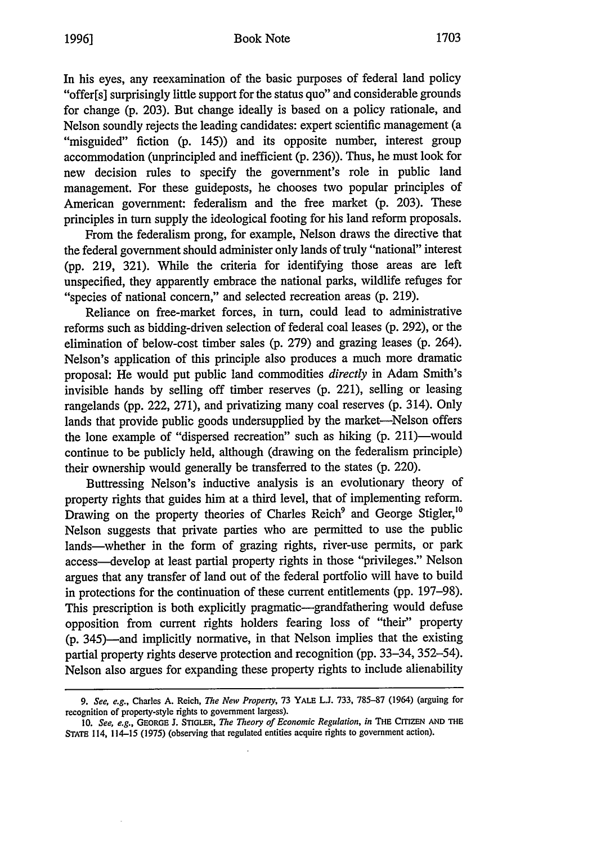In his eyes, any reexamination of the basic purposes of federal land policy "offer[s] surprisingly little support for the status quo" and considerable grounds for change (p. 203). But change ideally is based on a policy rationale, and Nelson soundly rejects the leading candidates: expert scientific management (a "misguided" fiction (p. 145)) and its opposite number, interest group accommodation (unprincipled and inefficient (p. 236)). Thus, he must look for new decision rules to specify the government's role in public land management. For these guideposts, he chooses two popular principles of American government: federalism and the free market (p. 203). These principles in turn supply the ideological footing for his land reform proposals.

From the federalism prong, for example, Nelson draws the directive that the federal government should administer only lands of truly "national" interest (pp. 219, 321). While the criteria for identifying those areas are left unspecified, they apparently embrace the national parks, wildlife refuges for "species of national concern," and selected recreation areas (p. 219).

Reliance on free-market forces, in turn, could lead to administrative reforms such as bidding-driven selection of federal coal leases (p. 292), or the elimination of below-cost timber sales (p. 279) and grazing leases (p. 264). Nelson's application of this principle also produces a much more dramatic proposal: He would put public land commodities *directly* in Adam Smith's invisible hands by selling off timber reserves (p. 221), selling or leasing rangelands (pp. 222, 271), and privatizing many coal reserves (p. 314). Only lands that provide public goods undersupplied by the market-Nelson offers the lone example of "dispersed recreation" such as hiking (p. 211)-would continue to be publicly held, although (drawing on the federalism principle) their ownership would generally be transferred to the states (p. 220).

Buttressing Nelson's inductive analysis is an evolutionary theory of property rights that guides him at a third level, that of implementing reform. Drawing on the property theories of Charles Reich<sup>9</sup> and George Stigler,<sup>10</sup> Nelson suggests that private parties who are permitted to use the public lands—whether in the form of grazing rights, river-use permits, or park access-develop at least partial property rights in those "privileges." Nelson argues that any transfer of land out of the federal portfolio will have to build in protections for the continuation of these current entitlements (pp. 197-98). This prescription is both explicitly pragmatic-grandfathering would defuse opposition from current rights holders fearing loss of "their" property (p. 345)-and implicitly normative, in that Nelson implies that the existing partial property rights deserve protection and recognition (pp. 33-34, 352-54). Nelson also argues for expanding these property rights to include alienability

*<sup>9.</sup> See, e.g.,* Charles A. Reich, *The New Property,* 73 YALE **L.J.** 733, 785-87 (1964) (arguing for recognition of property-style rights to government largess).

**<sup>10.</sup>** *See, e.g.,* **GEORGE J.** STIGLER, *The Theory of Economic Regulation, in* **THE CITIZEN AND THE STATE** 114, 114-15 (1975) (observing that regulated entities acquire rights to government action).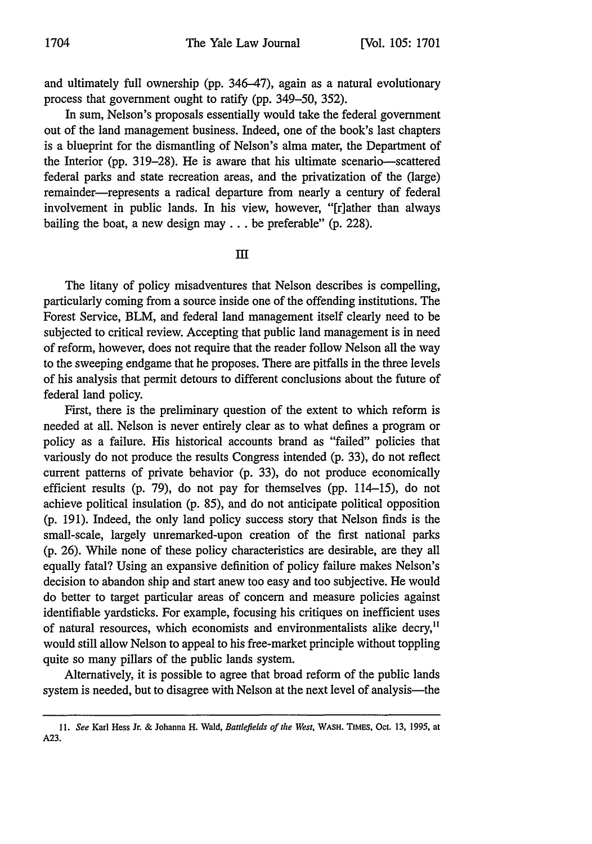and ultimately full ownership (pp. 346-47), again as a natural evolutionary process that government ought to ratify (pp. 349-50, 352).

In sum, Nelson's proposals essentially would take the federal government out of the land management business. Indeed, one of the book's last chapters is a blueprint for the dismantling of Nelson's alma mater, the Department of the Interior (pp. 319–28). He is aware that his ultimate scenario-scattered federal parks and state recreation areas, and the privatization of the (large) remainder-represents a radical departure from nearly a century of federal involvement in public lands. In his view, however, "[r]ather than always bailing the boat, a new design may **...** be preferable" (p. 228).

**II**

The litany of policy misadventures that Nelson describes is compelling, particularly coming from a source inside one of the offending institutions. The Forest Service, BLM, and federal land management itself clearly need to be subjected to critical review. Accepting that public land management is in need of reform, however, does not require that the reader follow Nelson all the way to the sweeping endgame that he proposes. There are pitfalls in the three levels of his analysis that permit detours to different conclusions about the future of federal land policy.

First, there is the preliminary question of the extent to which reform is needed at all. Nelson is never entirely clear as to what defines a program or policy as a failure. His historical accounts brand as "failed" policies that variously do not produce the results Congress intended (p. 33), do not reflect current patterns of private behavior (p. 33), do not produce economically efficient results (p. 79), do not pay for themselves (pp. 114-15), do not achieve political insulation (p. 85), and do not anticipate political opposition (p. 191). Indeed, the only land policy success story that Nelson finds is the small-scale, largely unremarked-upon creation of the first national parks (p. 26). While none of these policy characteristics are desirable, are they all equally fatal? Using an expansive definition of policy failure makes Nelson's decision to abandon ship and start anew too easy and too subjective. He would do better to target particular areas of concern and measure policies against identifiable yardsticks. For example, focusing his critiques on inefficient uses of natural resources, which economists and environmentalists alike decry,<sup>11</sup> would still allow Nelson to appeal to his free-market principle without toppling quite so many pillars of the public lands system.

Alternatively, it is possible to agree that broad reform of the public lands system is needed, but to disagree with Nelson at the next level of analysis-the

**<sup>11.</sup>** *See* Karl Hess Jr. **&** Johanna H. Wald, *Battlefields of the West,* WASH. TIMES, Oct. **13, 1995,** at **A23.**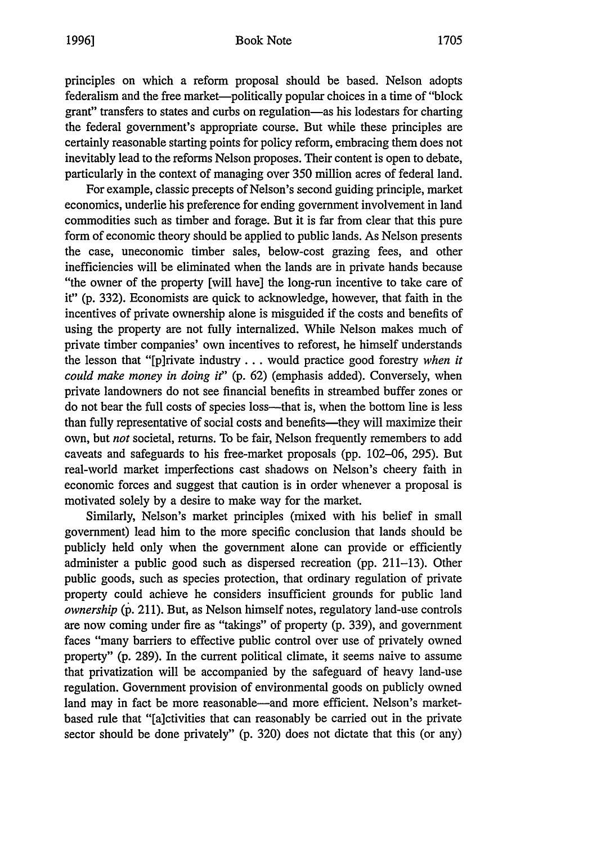principles on which a reform proposal should be based. Nelson adopts federalism and the free market-politically popular choices in a time of "block grant" transfers to states and curbs on regulation-as his lodestars for charting the federal government's appropriate course. But while these principles are certainly reasonable starting points for policy reform, embracing them does not inevitably lead to the reforms Nelson proposes. Their content is open to debate, particularly in the context of managing over 350 million acres of federal land.

For example, classic precepts of Nelson's second guiding principle, market economics, underlie his preference for ending government involvement in land commodities such as timber and forage. But it is far from clear that this pure form of economic theory should be applied to public lands. As Nelson presents the case, uneconomic timber sales, below-cost grazing fees, and other inefficiencies will be eliminated when the lands are in private hands because "the owner of the property [will have] the long-run incentive to take care of it" (p. 332). Economists are quick to acknowledge, however, that faith in the incentives of private ownership alone is misguided if the costs and benefits of using the property are not fully internalized. While Nelson makes much of private timber companies' own incentives to reforest, he himself understands the lesson that "[p]rivate industry **...** would practice good forestry *when it could make money in doing it"* (p. 62) (emphasis added). Conversely, when private landowners do not see financial benefits in streambed buffer zones or do not bear the full costs of species loss-that is, when the bottom line is less than fully representative of social costs and benefits—they will maximize their own, but *not* societal, returns. To be fair, Nelson frequently remembers to add caveats and safeguards to his free-market proposals (pp. 102-06, 295). But real-world market imperfections cast shadows on Nelson's cheery faith in economic forces and suggest that caution is in order whenever a proposal is motivated solely by a desire to make way for the market.

Similarly, Nelson's market principles (mixed with his belief in small government) lead him to the more specific conclusion that lands should be publicly held only when the government alone can provide or efficiently administer a public good such as dispersed recreation (pp. 211-13). Other public goods, such as species protection, that ordinary regulation of private property could achieve he considers insufficient grounds for public land *ownership (p.* 211). But, as Nelson himself notes, regulatory land-use controls are now coming under fire as "takings" of property (p. 339), and government faces "many barriers to effective public control over use of privately owned property" (p. 289). In the current political climate, it seems naive to assume that privatization will be accompanied by the safeguard of heavy land-use regulation. Government provision of environmental goods on publicly owned land may in fact be more reasonable—and more efficient. Nelson's marketbased rule that "[a]ctivities that can reasonably be carried out in the private sector should be done privately" (p. 320) does not dictate that this (or any)